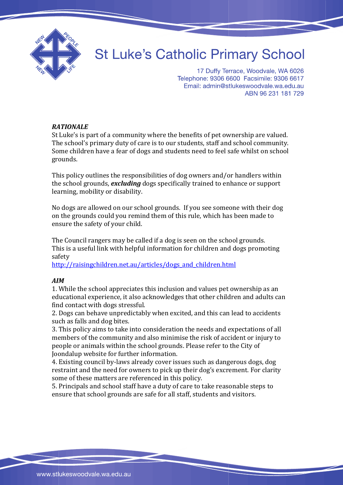

## **St Luke's Catholic Primary School**

17 Duffy Terrace, Woodvale, WA 6026 Telephone: 9306 6600 Facsimile: 9306 6617 Email: admin@stlukeswoodvale.wa.edu.au ABN 96 231 181 729

## *RATIONALE*

St Luke's is part of a community where the benefits of pet ownership are valued. The school's primary duty of care is to our students, staff and school community. Some children have a fear of dogs and students need to feel safe whilst on school grounds.

This policy outlines the responsibilities of dog owners and/or handlers within the school grounds, *excluding* dogs specifically trained to enhance or support learning, mobility or disability.

No dogs are allowed on our school grounds. If you see someone with their dog on the grounds could you remind them of this rule, which has been made to ensure the safety of your child.

The Council rangers may be called if a dog is seen on the school grounds. This is a useful link with helpful information for children and dogs promoting safety

[http://raisingchildren.net.au/articles/dogs\\_and\\_children.html](http://raisingchildren.net.au/articles/dogs_and_children.html)

## *AIM*

1. While the school appreciates this inclusion and values pet ownership as an educational experience, it also acknowledges that other children and adults can find contact with dogs stressful.

2. Dogs can behave unpredictably when excited, and this can lead to accidents such as falls and dog bites.

3. This policy aims to take into consideration the needs and expectations of all members of the community and also minimise the risk of accident or injury to people or animals within the school grounds. Please refer to the City of Joondalup website for further information.

4. Existing council by-laws already cover issues such as dangerous dogs, dog restraint and the need for owners to pick up their dog's excrement. For clarity some of these matters are referenced in this policy.

5. Principals and school staff have a duty of care to take reasonable steps to ensure that school grounds are safe for all staff, students and visitors.